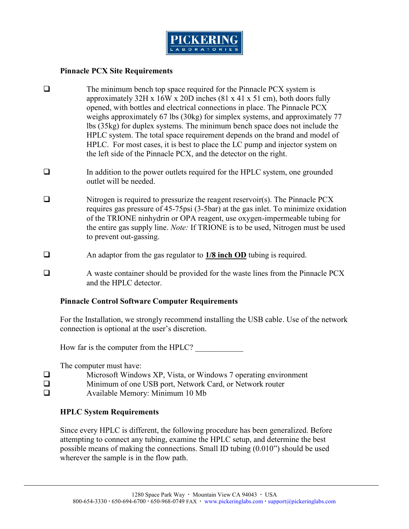## Pinnacle PCX Site Requirements

- ðq The minimum bench top space required for the Pinnacle approximately  $32H \times 16W \times 20D$  inches (81 x 41 x 51 cm) opened, with bottles and electrical connections in place weigs approximately 67 lbs (30kg) for simplex systems, a  $\mathsf{libs}$  (35kg) for duplex systems. The minimum bench space HPLC system. The total space requirement depends on t HPLC. For most casesplatces the sLC pump and injector sy the left side of the Pinnacle PCX, and the detector on th
- ðq In addition to the power outlets required for the HPLC s outlet will be needed.
- ðq Nitrogen is required to **ene**t srseusreiz veotih (es) ea Tohe Pinnacle Pi requigas pressur $\overline{\bullet}$  soif- $\frac{5}{5}$  at the  $\overline{\bullet}$  as minimic to a sidation of the TRIONE ninhydrin or OPA mpeagree a, bolos a who y gen the engtainse suppelly oltionf: TIRONEs to be, Whis trobgen must be used to  $preve-q$  assuit  $q$ .
- ðq An adaptor from the **gal8 rne.ghotl@b@on**ngtios required.
- ðq hetta A waste container should be provided for the waste lines and the HPLC detector.

Pinna Cloentrol Software Computer Requirements

For the Installation, we strongly recommules ned on the dimend witch reduction . connection is optional at the user s discretion.

How far is the computer from the  $HPLC$ ?  $\frac{1}{2}$ 

The computer must have:

| ðq | Microsoft Windows XP, Vista, or Windows 7 operating en |
|----|--------------------------------------------------------|
| ðq | Minimum of one USB port, Network Card, or Network rout |
| ðq | Available Memory: Minimum 10 Mb                        |

HPLC System Requirements

Since every HPLC is different, the following procedure has b attempttongonnect any tubing, examine the HPLC setup, and d possible means of making the connections. Small ID tubing (0.01) wherever the sample is in the flow path.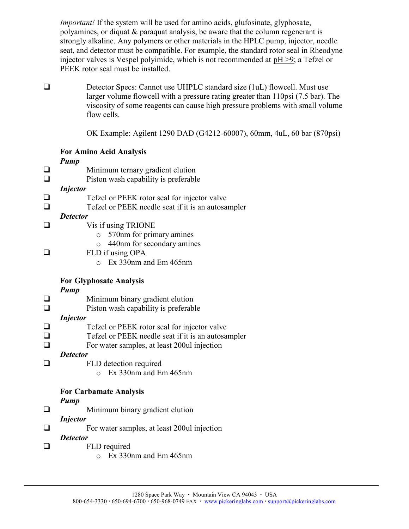Importamthe system will be used for amino tacids, glufosinate polyamines, or diquat & paraquat analysis, be aware that the strongly alkaline. Any polymers or other materials in the HPI seat, and detector must be compatible. For examplee, the star injector valves is Vespel polyimide, wchhich SasTred terle commended at a phase at a political at a PEEK rotor seal must be installed.

 $\delta q$  Detector Specs: $\bigcup$  Ha-Phlns $\Omega$  at nucleard size ( $\psi$  tell). Must use larger volume flowcell with a pressure rating greater tha viscosity of some neasche high can essure problems with small flow cells.

OK Example: Agilent 129600 DOA7D, (GG4n2 nh<sub>2</sub> 4uL, 60 bar (870psil)

|    | For Amino AAncaibly sis                            |
|----|----------------------------------------------------|
|    | $P$ ump                                            |
| ðq | Minimulentnary gradient elution                    |
| ðq | Piston wash capability is preferable               |
|    | Injector                                           |
| ðq | Tefzel or PEEK rotor seal for injector valve       |
| ðq | Tefzel or PEEK needle seat if it is an autosampler |
|    | Detector                                           |
| ðq | Vis if using TRIONE                                |
|    | o 570nm for primary amines                         |
|    | o 440nm for secondary amines                       |
| ðq | FLD using OPA                                      |
|    | o Ex 330nm and Em 465nm                            |
|    |                                                    |
|    | For Glyphosate Analysis<br>Pump                    |
| ðq | Minimum binary gradient elution                    |
| ðq | Piston wash capability is preferable               |
|    | Injector                                           |
| ðq | Tefzel or PEEK rotor seal for injector valve       |
| ðq | Tefzel or PEEK needle seat if it is an autosampler |
| ðq | For water sam passu, 12a0r0 jection                |
|    | Detector                                           |
| ðq | FLD detection required                             |
|    | o Ex 330nm and Em 465nm                            |
|    |                                                    |
|    | For Carbamate Analysis                             |
|    | Pump                                               |
| ðq | Minimum binary gradient elution                    |
|    | Injector                                           |
| ðq | For water samplesu, laint jlee catsion 200         |
|    | Detector                                           |
| ðq | FLD required                                       |
|    | o Ex 330nm and Em 465nm                            |
|    |                                                    |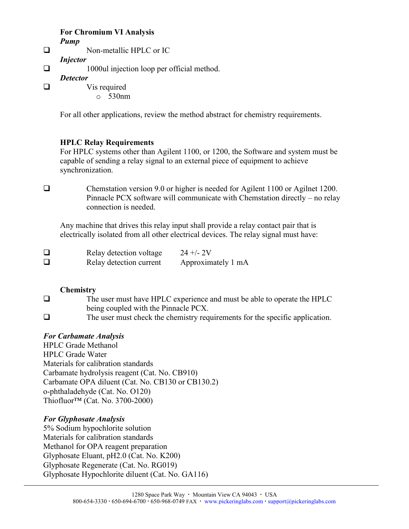For Chromium IV siana Pump ðq No-mmetallic HPLC or IC Injector ðq 1000ul injection loop per official method. Detector ðq Vis required o 530nm

For all othoeartiaonposline view the minenthodous absosttring ortequirements.

HPLC Relay Requirements

For HPLC systems otter ith and, Ag 1200, the Software and system capable of sending a relay signal to an external piece of equ synchronization.

ðq Chemstation version 9.0 or higher is needed for Agilent Pinnacle PCX sofotmon annual contribution Chemstation directly connection is needed.

Any machine that drives this relay input shall provide a relay electrically isolated from all other electrical devices. The re

 $\delta q$  Relay dentev $\alpha$ ditoage24 +-2/V ðq Relay detection **eluppreonxtimately 1 m A** 

Chemistry

- ðq The user must have HPLC experience and must be able t being coupled with the Pinnacle PCX.
- ðq The user must check the chemistry requartements for the

For Carbamate Analysis HPLC Grade Methanol HPLC Grade Water Materials for calibration standards Carbamate hydrolysis reagent (Cat. No. CB910) Carbamate OPA diluent (Cat. No. CB130 or CB130.2) o-phthaladehyde (Cat. No. O120)  $Thiofluor!"$   $(©.a 8.720000)$ 

For Glyphosate Analysis 5% Sodium hypochlorite solution Materials for calibration standards Methanol for OPA reagent preparation Glyphosate Eluant, pH2.0 (Cat. No. K200) Glyphosate Regenerate (Cat. No. RG019)  $Glyphosate Hyp\alpha$ chd briefeatdino.  $GA116$ )